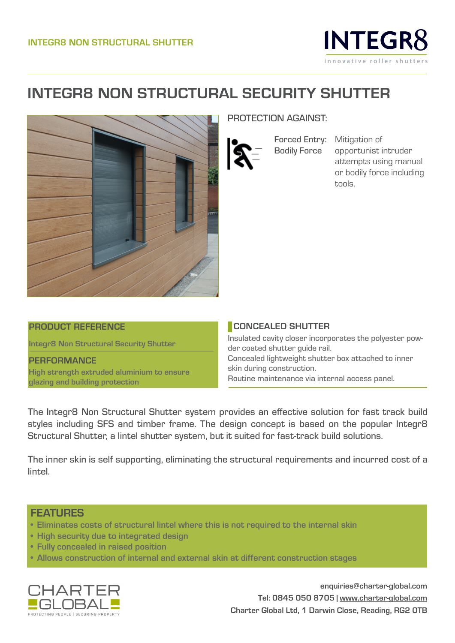

## **INTEGR8 NON STRUCTURAL SECURITY SHUTTER**



### PROTECTION AGAINST:

Forced Entry: Mitigation of Bodily Force

opportunist intruder attempts using manual or bodily force including tools.

#### **PRODUCT REFERENCE**

**Integr8 Non Structural Security Shutter**

**PERFORMANCE High strength extruded aluminium to ensure glazing and building protection**

#### **CONCEALED SHUTTER**

Insulated cavity closer incorporates the polyester powder coated shutter guide rail. Concealed lightweight shutter box attached to inner skin during construction. Routine maintenance via internal access panel.

The Integr8 Non Structural Shutter system provides an effective solution for fast track build styles including SFS and timber frame. The design concept is based on the popular Integr8 Structural Shutter, a lintel shutter system, but it suited for fast-track build solutions.

The inner skin is self supporting, eliminating the structural requirements and incurred cost of a lintel.

## **FEATURES**

- **• Eliminates costs of structural lintel where this is not required to the internal skin**
- **• High security due to integrated design**
- **• Fully concealed in raised position**
- **• Allows construction of internal and external skin at different construction stages**



**enquiries@charter-global.com Tel: 0845 050 8705 | www.charter-global.com Charter Global Ltd, 1 Darwin Close, Reading, RG2 0TB**